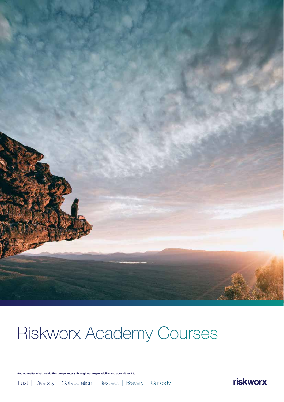

# Riskworx Academy Courses

**And no matter what, we do this unequivocally through our responsibility and commitment to**

Trust | Diversity | Collaboration | Respect | Bravery | Curiosity

riskworx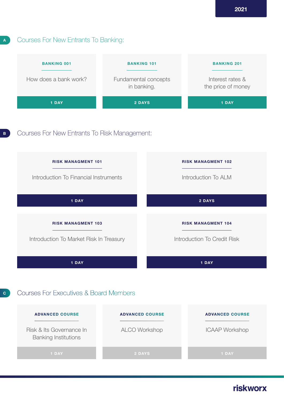## Courses For New Entrants To Banking:

**A**



# riskworx